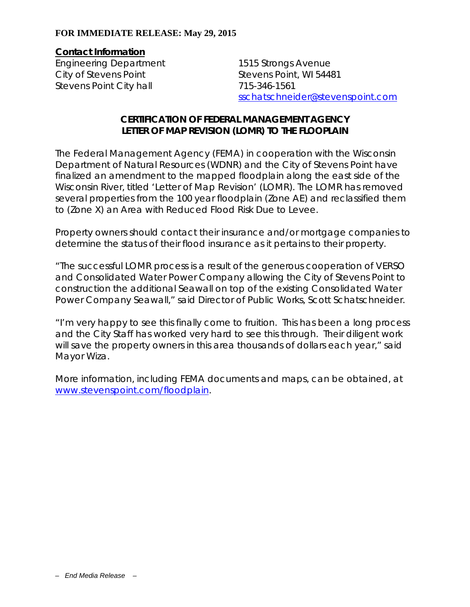## **FOR IMMEDIATE RELEASE: May 29, 2015**

## **Contact Information**

Engineering Department City of Stevens Point Stevens Point City hall

1515 Strongs Avenue Stevens Point, WI 54481 715-346-1561 sschatschneider@stevenspoint.com

## **CERTIFICATION OF FEDERAL MANAGEMENT AGENCY LETTER OF MAP REVISION (LOMR) TO THE FLOOPLAIN**

The Federal Management Agency (FEMA) in cooperation with the Wisconsin Department of Natural Resources (WDNR) and the City of Stevens Point have finalized an amendment to the mapped floodplain along the east side of the Wisconsin River, titled 'Letter of Map Revision' (LOMR). The LOMR has removed several properties from the 100 year floodplain (Zone AE) and reclassified them to (Zone X) an Area with Reduced Flood Risk Due to Levee.

Property owners should contact their insurance and/or mortgage companies to determine the status of their flood insurance as it pertains to their property.

"The successful LOMR process is a result of the generous cooperation of VERSO and Consolidated Water Power Company allowing the City of Stevens Point to construction the additional Seawall on top of the existing Consolidated Water Power Company Seawall," said Director of Public Works, Scott Schatschneider.

"I'm very happy to see this finally come to fruition. This has been a long process and the City Staff has worked very hard to see this through. Their diligent work will save the property owners in this area thousands of dollars each year," said Mayor Wiza.

More information, including FEMA documents and maps, can be obtained, at www.stevenspoint.com/floodplain.